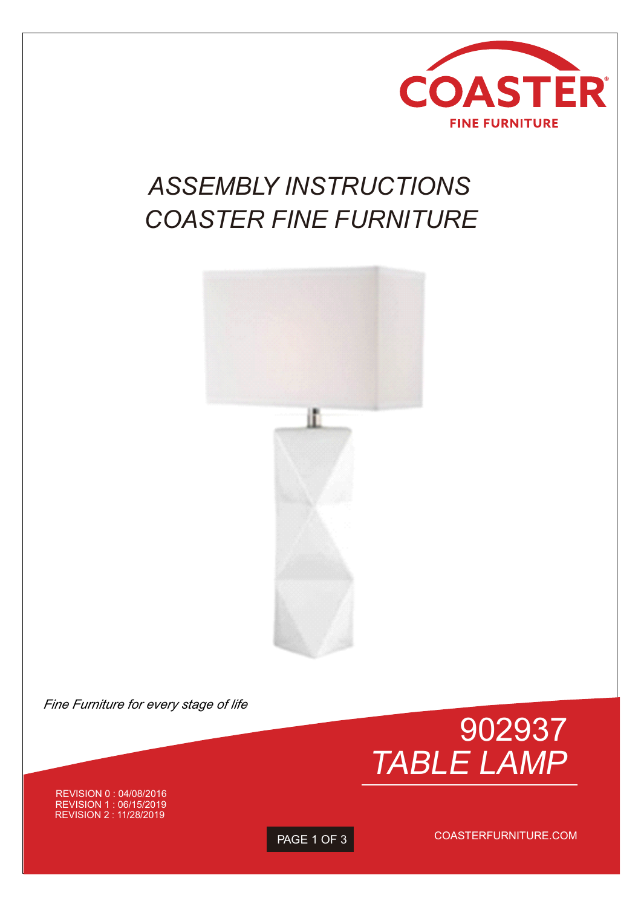

## *ASSEMBLY INSTRUCTIONS COASTER FINE FURNITURE*



*Fine Furniture for every stage of life*



REVISION 0 : 04/08/2016 REVISION 1 : 06/15/2019 REVISION 2:11/28/2019

PAGE 1 OF 3

COASTERFURNITURE.COM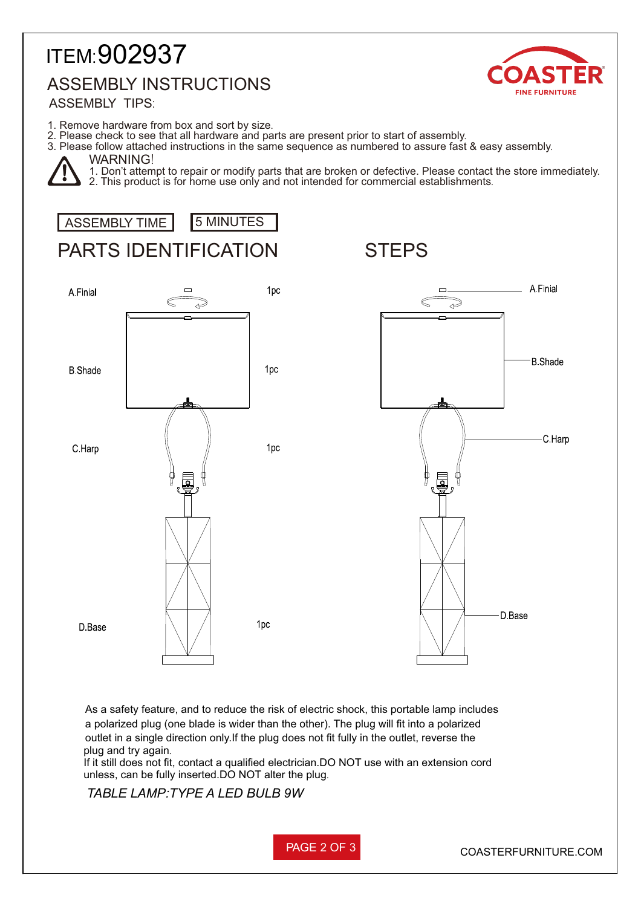## ITEM:902937 ASSEMBLY INSTRUCTIONS



**ASSEMBLY TIPS:** 

- 1. Remove hardware from box and sort by size.
- 2. Please check to see that all hardware and parts are present prior to start of assembly.
- 3. Please follow attached instructions in the same sequence as numbered to assure fast & easy assembly.

## WARNING!

1. Don't attempt to repair or modify parts that are broken or defective. Please contact the store immediately. 2. This product is for home use only and not intended for commercial establishments.





plug and try again. outlet in a single direction only.If the plug does not fit fully in the outlet, reverse the a polarized plug (one blade is wider than the other). The plug will fit into a polarized As a safety feature, and to reduce the risk of electric shock, this portable lamp includes

If it still does not fit, contact a qualified electrician.DO NOT use with an extension cord unless, can be fully inserted.DO NOT alter the plug.

*TABLE LAMP:TYPE A LED BULB 9W*

PAGE 2 OF 3 COASTERFURNITURE.COM